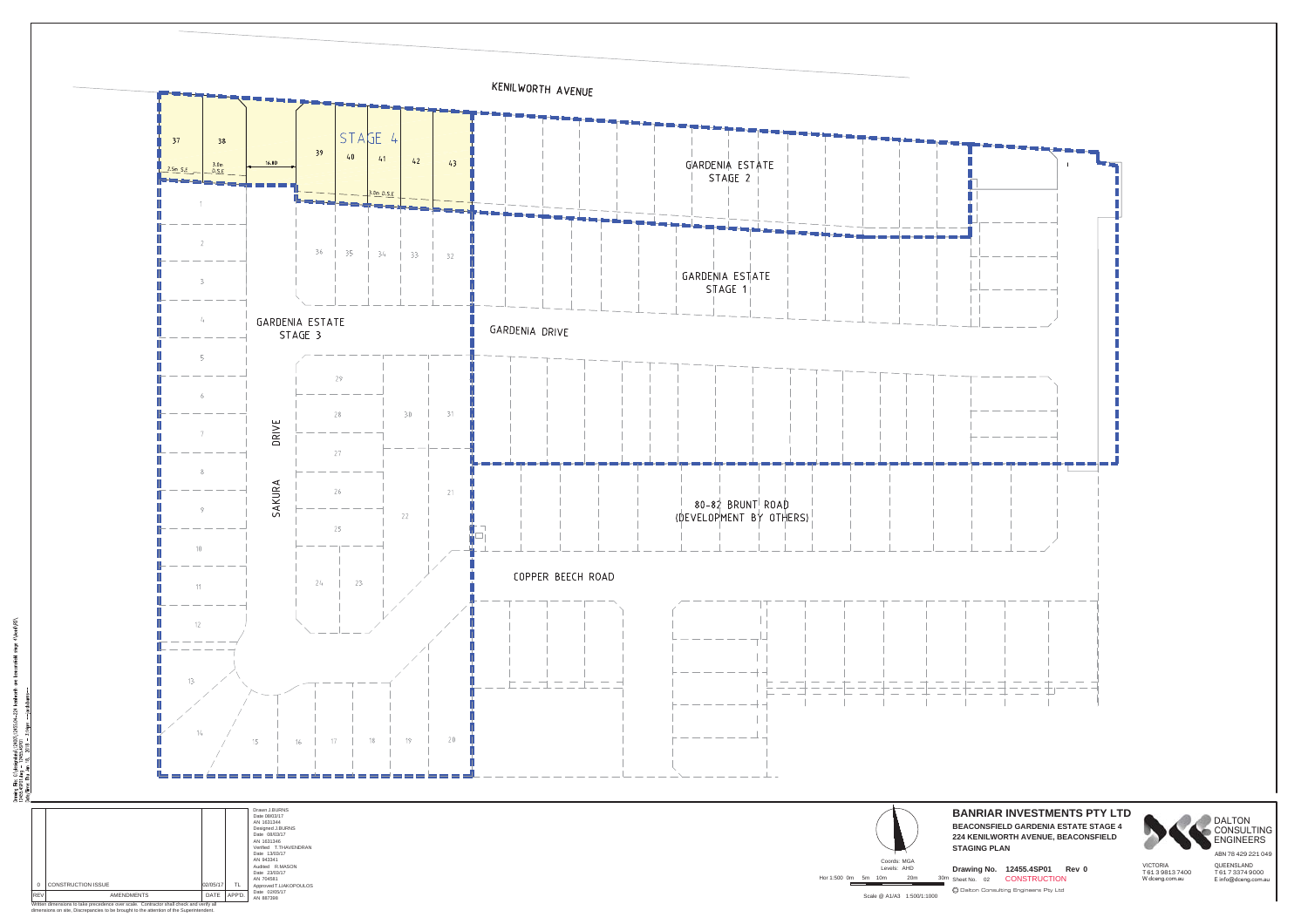

- 8 λταπίας File: C:\designdath\12400\12455.04-224<br>12455.45P01.dmg - 12455.45P01<br>>bto/Time: Thu Jon 18, 2018 - 3:14pm --jaco